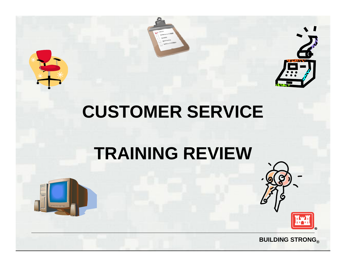





# **CUSTOMER SERVICE**

## **TRAINING REVIEW**

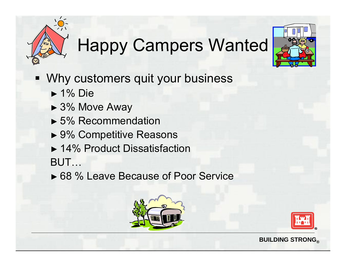# Happy Campers Wanted



- Why customers quit your business
	- ► 1% Die
	- ► 3% Move Away
	- ► 5% Recommendation
	- ► 9% Competitive Reasons
	- ► 14% Product Dissatisfaction
	- BUT…
	- ► 68 % Leave Because of Poor Service



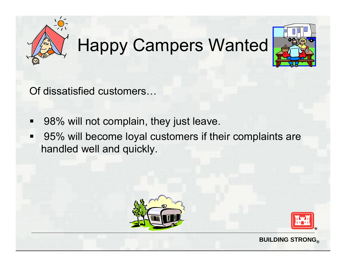

# Happy Campers Wanted



Of dissatisfied customers…

- $\blacksquare$ 98% will not complain, they just leave.
- $\blacksquare$  95% will become loyal customers if their complaints are handled well and quickly.



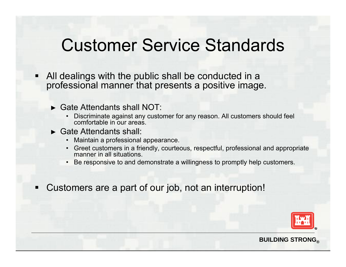### Customer Service Standards

- Ξ All dealings with the public shall be conducted in a professional manner that presents a positive image.
	- ► Gate Attendants shall NOT:
		- Discriminate against any customer for any reason. All customers should feel comfortable in our areas.
	- ► Gate Attendants shall:
		- Maintain a professional appearance.
		- Greet customers in <sup>a</sup> friendly, courteous, respectful, professional and appropriate manner in all situations.
		- Be responsive to and demonstrate a willingness to promptly help customers.
- $\blacksquare$ Customers are a part of our job, not an interruption!

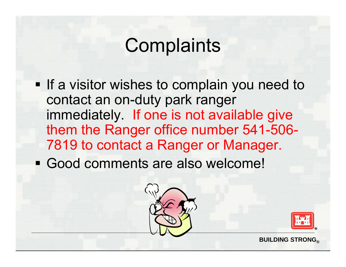## **Complaints**

- **If a visitor wishes to complain you need to** contact an on-duty park ranger immediately. If one is not available give them the Ranger office number 541-506- 7819 to contact a Ranger or Manager.
- Good comments are also welcome!



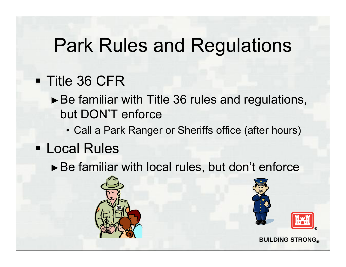### Park Rules and Regulations

#### Title 36 CFR

- ►Be familiar with Title 36 rules and regulations, but DON'T enforce
	- Call a Park Ranger or Sheriffs office (after hours)
- Local Rules
	- ►Be familiar with local rules, but don't enforce



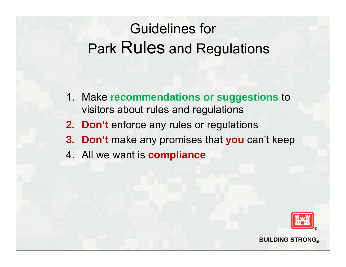### Guidelines for Park Rules and Regulations

- 1. Make **recommendations or suggestions** to visitors about rules and regulations
- **2. Don't** enforce any rules or regulations
- **3. Don't** make any promises that **you** can't keep
- 4. All we want is **compliance**

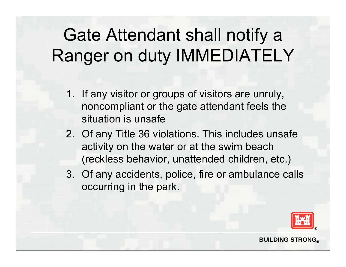## Gate Attendant shall notify a Ranger on duty IMMEDIATELY

- 1. If any visitor or groups of visitors are unruly, noncompliant or the gate attendant feels the situation is unsafe
- 2. Of any Title 36 violations. This includes unsafe activity on the water or at the swim beach (reckless behavior, unattended children, etc.)
- 3. Of any accidents, police, fire or ambulance calls occurring in the park.

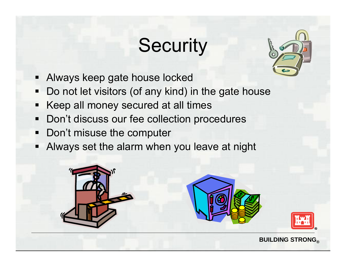# **Security**



- Always keep gate house locked
- $\blacksquare$ Do not let visitors (of any kind) in the gate house
- $\blacksquare$ Keep all money secured at all times
- $\blacksquare$ • Don't discuss our fee collection procedures
- Don't misuse the computer
- Always set the alarm when you leave at night



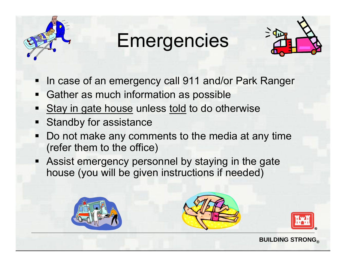

# Emergencies



- ۳ In case of an emergency call 911 and/or Park Ranger
- $\blacksquare$ Gather as much information as possible
- Stay in gate house unless told to do otherwise
- Standby for assistance
- ۳ Do not make any comments to the media at any time (refer them to the office)
- Assist emergency personnel by staying in the gate house (you will be given instructions if needed)